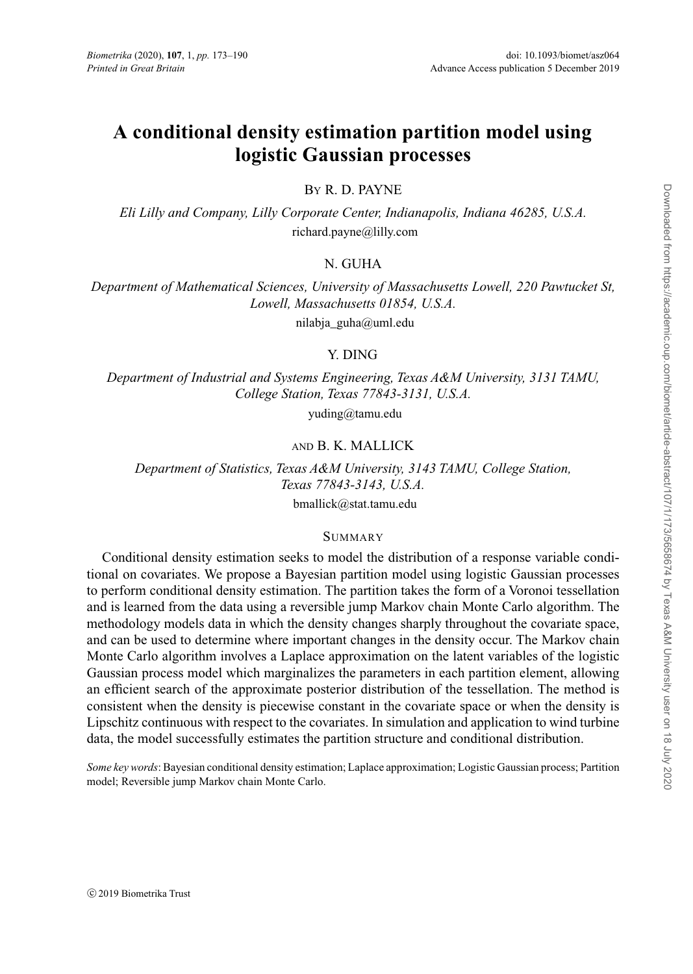# **A conditional density estimation partition model using logistic Gaussian processes**

By R. D. PAYNE

*Eli Lilly and Company, Lilly Corporate Center, Indianapolis, Indiana 46285, U.S.A.* richard.payne@lilly.com

N. GUHA

*Department of Mathematical Sciences, University of Massachusetts Lowell, 220 Pawtucket St, Lowell, Massachusetts 01854, U.S.A.*

nilabja\_guha@uml.edu

## Y. DING

*Department of Industrial and Systems Engineering, Texas A&M University, 3131 TAMU, College Station, Texas 77843-3131, U.S.A.*

yuding@tamu.edu

AND B. K. MALLICK

*Department of Statistics, Texas A&M University, 3143 TAMU, College Station, Texas 77843-3143, U.S.A.*

bmallick@stat.tamu.edu

## **SUMMARY**

Conditional density estimation seeks to model the distribution of a response variable conditional on covariates. We propose a Bayesian partition model using logistic Gaussian processes to perform conditional density estimation. The partition takes the form of a Voronoi tessellation and is learned from the data using a reversible jump Markov chain Monte Carlo algorithm. The methodology models data in which the density changes sharply throughout the covariate space, and can be used to determine where important changes in the density occur. The Markov chain Monte Carlo algorithm involves a Laplace approximation on the latent variables of the logistic Gaussian process model which marginalizes the parameters in each partition element, allowing an efficient search of the approximate posterior distribution of the tessellation. The method is consistent when the density is piecewise constant in the covariate space or when the density is Lipschitz continuous with respect to the covariates. In simulation and application to wind turbine data, the model successfully estimates the partition structure and conditional distribution.

*Some key words*: Bayesian conditional density estimation; Laplace approximation; Logistic Gaussian process; Partition model; Reversible jump Markov chain Monte Carlo.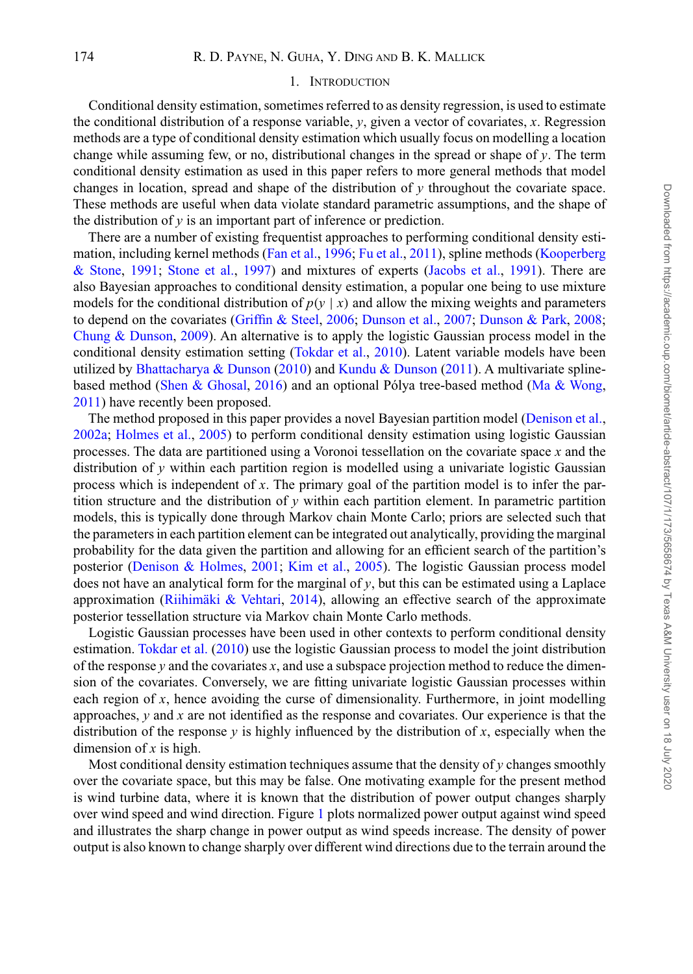#### 1. Introduction

Conditional density estimation, sometimes referred to as density regression, is used to estimate the conditional distribution of a response variable, *y*, given a vector of covariates, *x*. Regression methods are a type of conditional density estimation which usually focus on modelling a location change while assuming few, or no, distributional changes in the spread or shape of *y*. The term conditional density estimation as used in this paper refers to more general methods that model changes in location, spread and shape of the distribution of *y* throughout the covariate space. These methods are useful when data violate standard parametric assumptions, and the shape of the distribution of  $y$  is an important part of inference or prediction.

There are a number of existing frequentist approaches to performing conditional density estimation, [including](#page-16-0) [kernel](#page-16-0) [methods](#page-16-0) [\(Fan et al.,](#page-16-0) [1996](#page-16-0); [Fu et al.,](#page-16-0) [2011\)](#page-16-0), spline methods (Kooperberg & Stone, [1991](#page-16-0); [Stone et al.,](#page-17-0) [1997\)](#page-17-0) and mixtures of experts [\(Jacobs et al.](#page-16-0), [1991](#page-16-0)). There are also Bayesian approaches to conditional density estimation, a popular one being to use mixture models for the conditional distribution of  $p(y | x)$  and allow the mixing weights and parameters to depend on the covariates [\(Griffin & Steel,](#page-16-0) [2006](#page-16-0); [Dunson et al.](#page-16-0), [2007;](#page-16-0) [Dunson & Park](#page-16-0), [2008;](#page-16-0) [Chung & Dunson,](#page-16-0) [2009\)](#page-16-0). An alternative is to apply the logistic Gaussian process model in the conditional density estimation setting [\(Tokdar et al.,](#page-17-0) [2010](#page-17-0)). Latent variable models have been utilized by [Bhattacharya & Dunson](#page-16-0) [\(2010](#page-16-0)) and [Kundu & Dunson](#page-16-0) [\(2011\)](#page-16-0). A multivariate splinebased method [\(Shen & Ghosal](#page-17-0), [2016](#page-17-0)) and an optional Pólya tree-based method [\(Ma & Wong](#page-16-0), [2011](#page-16-0)) have recently been proposed.

The method proposed in this paper provides a novel Bayesian partition model [\(Denison et al.](#page-16-0), [2002a](#page-16-0); [Holmes et al.](#page-16-0), [2005](#page-16-0)) to perform conditional density estimation using logistic Gaussian processes. The data are partitioned using a Voronoi tessellation on the covariate space *x* and the distribution of *y* within each partition region is modelled using a univariate logistic Gaussian process which is independent of *x*. The primary goal of the partition model is to infer the partition structure and the distribution of  $y$  within each partition element. In parametric partition models, this is typically done through Markov chain Monte Carlo; priors are selected such that the parameters in each partition element can be integrated out analytically, providing the marginal probability for the data given the partition and allowing for an efficient search of the partition's posterior [\(Denison & Holmes,](#page-16-0) [2001](#page-16-0); [Kim et al.](#page-16-0), [2005\)](#page-16-0). The logistic Gaussian process model does not have an analytical form for the marginal of *y*, but this can be estimated using a Laplace approximation [\(Riihimäki & Vehtari,](#page-17-0) [2014\)](#page-17-0), allowing an effective search of the approximate posterior tessellation structure via Markov chain Monte Carlo methods.

Logistic Gaussian processes have been used in other contexts to perform conditional density estimation. [Tokdar et al.](#page-17-0) [\(2010\)](#page-17-0) use the logistic Gaussian process to model the joint distribution of the response *y* and the covariates *x*, and use a subspace projection method to reduce the dimension of the covariates. Conversely, we are fitting univariate logistic Gaussian processes within each region of *x*, hence avoiding the curse of dimensionality. Furthermore, in joint modelling approaches, *y* and *x* are not identified as the response and covariates. Our experience is that the distribution of the response *y* is highly influenced by the distribution of *x*, especially when the dimension of *x* is high.

Most conditional density estimation techniques assume that the density of *y* changes smoothly over the covariate space, but this may be false. One motivating example for the present method is wind turbine data, where it is known that the distribution of power output changes sharply over wind speed and wind direction. Figure [1](#page-2-0) plots normalized power output against wind speed and illustrates the sharp change in power output as wind speeds increase. The density of power output is also known to change sharply over different wind directions due to the terrain around the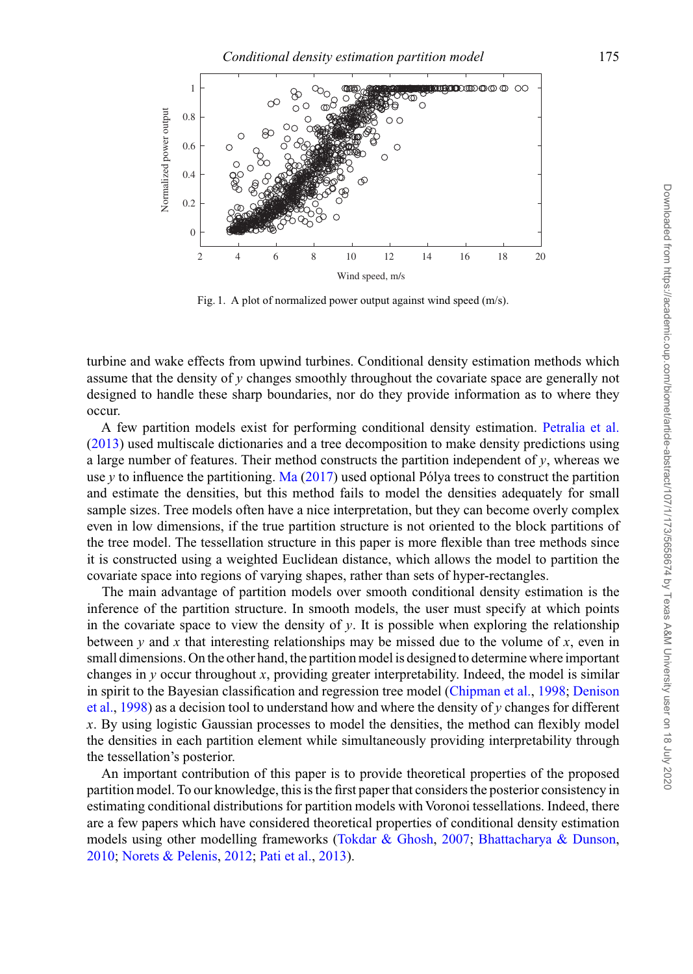<span id="page-2-0"></span>

Fig. 1. A plot of normalized power output against wind speed (m/s).

turbine and wake effects from upwind turbines. Conditional density estimation methods which assume that the density of *y* changes smoothly throughout the covariate space are generally not designed to handle these sharp boundaries, nor do they provide information as to where they occur.

A few partition models exist for performing conditional density estimation. [Petralia et al.](#page-16-0) [\(2013\)](#page-16-0) used multiscale dictionaries and a tree decomposition to make density predictions using a large number of features. Their method constructs the partition independent of  $y$ , whereas we use  $\gamma$  to influence the partitioning. [Ma](#page-16-0) [\(2017\)](#page-16-0) used optional Pólya trees to construct the partition and estimate the densities, but this method fails to model the densities adequately for small sample sizes. Tree models often have a nice interpretation, but they can become overly complex even in low dimensions, if the true partition structure is not oriented to the block partitions of the tree model. The tessellation structure in this paper is more flexible than tree methods since it is constructed using a weighted Euclidean distance, which allows the model to partition the covariate space into regions of varying shapes, rather than sets of hyper-rectangles.

The main advantage of partition models over smooth conditional density estimation is the inference of the partition structure. In smooth models, the user must specify at which points in the covariate space to view the density of  $y$ . It is possible when exploring the relationship between  $\gamma$  and  $\chi$  that interesting relationships may be missed due to the volume of  $\chi$ , even in small dimensions. On the other hand, the partition model is designed to determine where important changes in *y* occur throughout *x*, providing greater interpretability. Indeed, the model is similar in s[pirit to the Bayesian classification and regression tree model \(Chipman et al.,](#page-16-0) [1998](#page-16-0); Denison et al., [1998](#page-16-0)) as a decision tool to understand how and where the density of *y* changes for different *x*. By using logistic Gaussian processes to model the densities, the method can flexibly model the densities in each partition element while simultaneously providing interpretability through the tessellation's posterior.

An important contribution of this paper is to provide theoretical properties of the proposed partition model. To our knowledge, this is the first paper that considers the posterior consistency in estimating conditional distributions for partition models with Voronoi tessellations. Indeed, there are a few papers which have considered theoretical properties of conditional density estimation models using other modelling frameworks [\(Tokdar & Ghosh,](#page-17-0) [2007](#page-17-0); [Bhattacharya & Dunson,](#page-16-0) [2010](#page-16-0); [Norets & Pelenis,](#page-16-0) [2012](#page-16-0); [Pati et al.,](#page-16-0) [2013](#page-16-0)).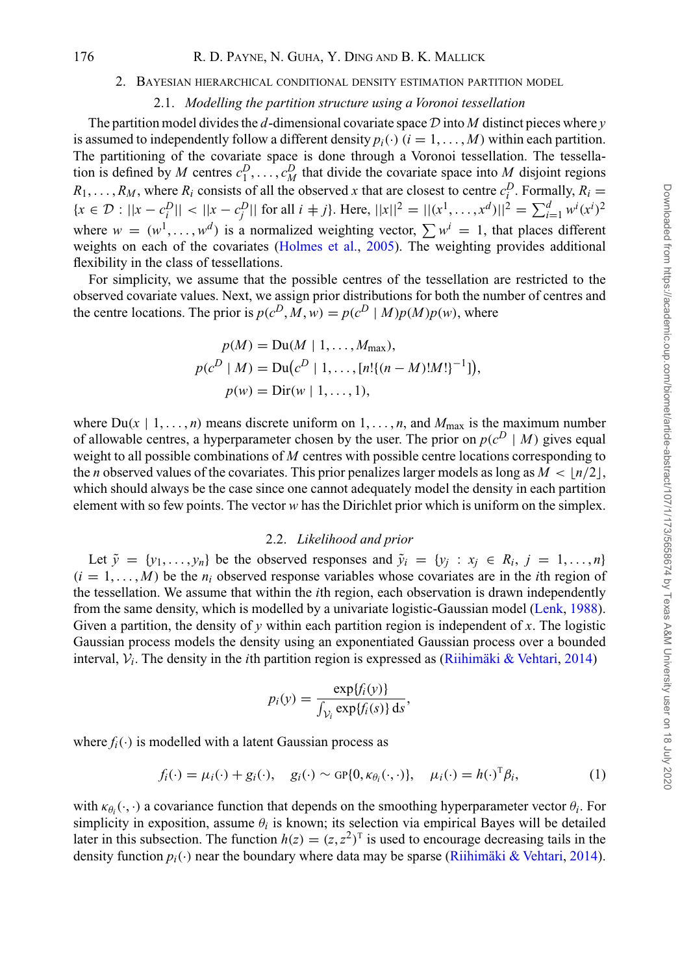#### 2. Bayesian hierarchical conditional density estimation partition model

## 2.1. *Modelling the partition structure using a Voronoi tessellation*

<span id="page-3-0"></span>The partition model divides the *d*-dimensional covariate space  $D$  into *M* distinct pieces where  $\nu$ is assumed to independently follow a different density  $p_i(\cdot)$   $(i = 1, \dots, M)$  within each partition. The partitioning of the covariate space is done through a Voronoi tessellation. The tessellation is defined by *M* centres  $c_1^D, \ldots, c_M^D$  that divide the covariate space into *M* disjoint regions  $R_1, \ldots, R_M$ , where  $R_i$  consists of all the observed *x* that are closest to centre  $c_i^D$ . Formally,  $R_i =$  $\{x \in \mathcal{D} : ||x - c_i^D|| < ||x - c_j^D|| \text{ for all } i \neq j\}.$  Here,  $||x||^2 = ||(x^1, ..., x^d)||^2 = \sum_{i=1}^d w^i (x^i)^2$ where  $w = (w^1, \dots, w^d)$  is a normalized weighting vector,  $\sum w^i = 1$ , that places different weights on each of the covariates [\(Holmes et al.,](#page-16-0) [2005\)](#page-16-0). The weighting provides additional flexibility in the class of tessellations.

For simplicity, we assume that the possible centres of the tessellation are restricted to the observed covariate values. Next, we assign prior distributions for both the number of centres and the centre locations. The prior is  $p(c^D, M, w) = p(c^D | M)p(M)p(w)$ , where

$$
p(M) = Du(M | 1, ..., M_{\text{max}}),
$$
  
\n
$$
p(c^D | M) = Du(c^D | 1, ..., [n!((n - M)!M!)^{-1}]),
$$
  
\n
$$
p(w) = Dir(w | 1, ..., 1),
$$

where  $Du(x \mid 1, \ldots, n)$  means discrete uniform on  $1, \ldots, n$ , and  $M_{\text{max}}$  is the maximum number of allowable centres, a hyperparameter chosen by the user. The prior on  $p(c^D | M)$  gives equal weight to all possible combinations of *M* centres with possible centre locations corresponding to the *n* observed values of the covariates. This prior penalizes larger models as long as  $M < |n/2|$ , which should always be the case since one cannot adequately model the density in each partition element with so few points. The vector *w* has the Dirichlet prior which is uniform on the simplex.

## 2.2. *Likelihood and prior*

Let  $\tilde{y} = \{y_1, \ldots, y_n\}$  be the observed responses and  $\tilde{y}_i = \{y_j : x_j \in R_i, j = 1, \ldots, n\}$  $(i = 1, \ldots, M)$  be the  $n_i$  observed response variables whose covariates are in the *i*th region of the tessellation. We assume that within the *i*th region, each observation is drawn independently from the same density, which is modelled by a univariate logistic-Gaussian model [\(Lenk](#page-16-0), [1988\)](#page-16-0). Given a partition, the density of  $\gamma$  within each partition region is independent of  $\chi$ . The logistic Gaussian process models the density using an exponentiated Gaussian process over a bounded interval,  $V_i$ . The density in the *i*th partition region is expressed as [\(Riihimäki & Vehtari](#page-17-0), [2014\)](#page-17-0)

$$
p_i(y) = \frac{\exp\{f_i(y)\}}{\int_{\mathcal{V}_i} \exp\{f_i(s)\} \, ds},
$$

where  $f_i(\cdot)$  is modelled with a latent Gaussian process as

$$
f_i(\cdot) = \mu_i(\cdot) + g_i(\cdot), \quad g_i(\cdot) \sim \text{GP}\{0, \kappa_{\theta_i}(\cdot, \cdot)\}, \quad \mu_i(\cdot) = h(\cdot)^{\text{T}} \beta_i,
$$
 (1)

with  $\kappa_{\theta_i}(\cdot, \cdot)$  a covariance function that depends on the smoothing hyperparameter vector  $\theta_i$ . For simplicity in exposition, assume  $\theta_i$  is known; its selection via empirical Bayes will be detailed later in this subsection. The function  $h(z) = (z, z^2)^T$  is used to encourage decreasing tails in the density function  $p_i(\cdot)$  near the boundary where data may be sparse [\(Riihimäki & Vehtari](#page-17-0), [2014\)](#page-17-0).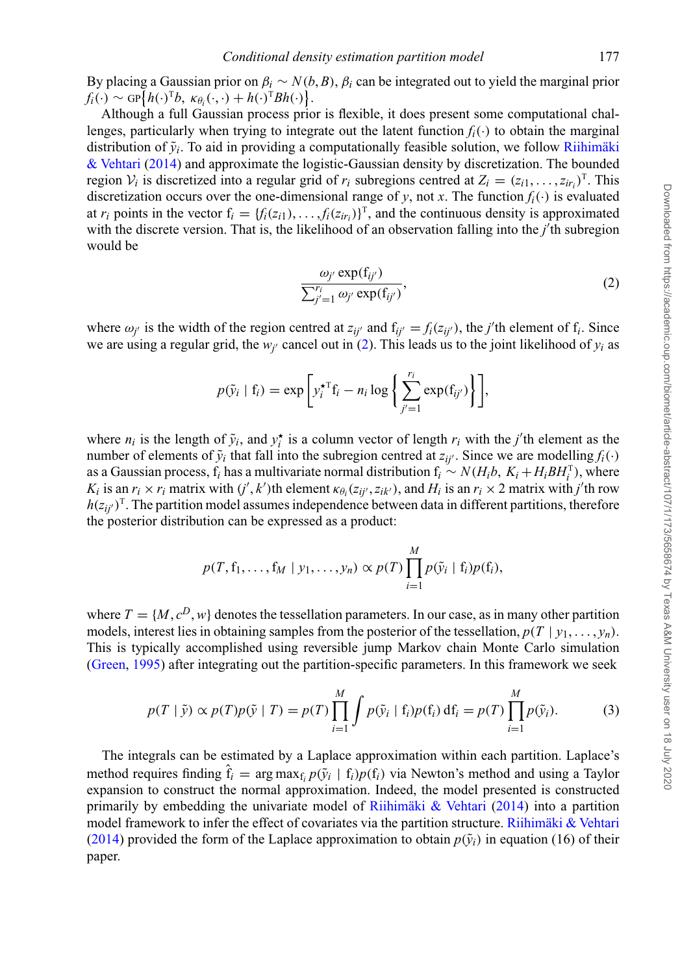<span id="page-4-0"></span>By placing a Gaussian prior on  $\beta_i \sim N(b, B)$ ,  $\beta_i$  can be integrated out to yield the marginal prior  $f_i(\cdot) \sim \text{GP}\Big\{h(\cdot)^{\text{T}}b, \ \kappa_{\theta_i}(\cdot,\cdot) + h(\cdot)^{\text{T}}Bh(\cdot)\Big\}.$ 

Although a full Gaussian process prior is flexible, it does present some computational challenges, particularly when trying to integrate out the latent function  $f_i(\cdot)$  to obtain the marginal distribution of  $\tilde{\gamma}_i$ [. To aid in providing a computationally feasible solution, we follow](#page-17-0) Riihimäki & Vehtari [\(2014\)](#page-17-0) and approximate the logistic-Gaussian density by discretization. The bounded region  $V_i$  is discretized into a regular grid of  $r_i$  subregions centred at  $Z_i = (z_{i1}, \ldots, z_{ir_i})^T$ . This discretization occurs over the one-dimensional range of *y*, not *x*. The function  $f_i(\cdot)$  is evaluated at  $r_i$  points in the vector  $f_i = \{f_i(z_{i1}), \ldots, f_i(z_{ir_i})\}^T$ , and the continuous density is approximated with the discrete version. That is, the likelihood of an observation falling into the *j*'th subregion would be

$$
\frac{\omega_{j'} \exp(f_{ij'})}{\sum_{j'=1}^{r_i} \omega_{j'} \exp(f_{ij'})},\tag{2}
$$

where  $\omega_{j'}$  is the width of the region centred at  $z_{ij'}$  and  $f_{ij'} = f_i(z_{ij'})$ , the *j*'th element of  $f_i$ . Since we are using a regular grid, the  $w_{i'}$  cancel out in (2). This leads us to the joint likelihood of  $y_i$  as

$$
p(\tilde{y}_i \mid f_i) = \exp\left[y_i^{\star T} f_i - n_i \log \left\{\sum_{j'=1}^{r_i} \exp(f_{ij'})\right\}\right],
$$

where  $n_i$  is the length of  $\tilde{y}_i$ , and  $y_i^*$  is a column vector of length  $r_i$  with the *j*'th element as the number of elements of  $\tilde{y}_i$  that fall into the subregion centred at  $z_{ij'}$ . Since we are modelling  $f_i(\cdot)$ as a Gaussian process,  $f_i$  has a multivariate normal distribution  $f_i \sim N(H_i b, K_i + H_i B H_i^T)$ , where *K<sub>i</sub>* is an  $r_i \times r_i$  matrix with  $(j', k')$  th element  $\kappa_{\theta_i}(z_{ij'}, z_{ik'})$ , and  $H_i$  is an  $r_i \times 2$  matrix with *j*'th row  $h(z_{ii'})^T$ . The partition model assumes independence between data in different partitions, therefore the posterior distribution can be expressed as a product:

$$
p(T, f_1, \ldots, f_M \mid y_1, \ldots, y_n) \propto p(T) \prod_{i=1}^M p(\tilde{y}_i \mid f_i) p(f_i),
$$

where  $T = \{M, c^D, w\}$  denotes the tessellation parameters. In our case, as in many other partition models, interest lies in obtaining samples from the posterior of the tessellation,  $p(T | y_1, \ldots, y_n)$ . This is typically accomplished using reversible jump Markov chain Monte Carlo simulation [\(Green,](#page-16-0) [1995](#page-16-0)) after integrating out the partition-specific parameters. In this framework we seek

$$
p(T \mid \tilde{y}) \propto p(T)p(\tilde{y} \mid T) = p(T) \prod_{i=1}^{M} \int p(\tilde{y}_i \mid f_i)p(f_i) df_i = p(T) \prod_{i=1}^{M} p(\tilde{y}_i).
$$
 (3)

The integrals can be estimated by a Laplace approximation within each partition. Laplace's method requires finding  $f_i = \arg \max_{f_i} p(\tilde{y}_i \mid f_i) p(f_i)$  via Newton's method and using a Taylor expansion to construct the normal approximation. Indeed, the model presented is constructed primarily by embedding the univariate model of [Riihimäki & Vehtari](#page-17-0) [\(2014\)](#page-17-0) into a partition model framework to infer the effect of covariates via the partition structure. [Riihimäki & Vehtari](#page-17-0) [\(2014\)](#page-17-0) provided the form of the Laplace approximation to obtain  $p(\tilde{v}_i)$  in equation (16) of their paper.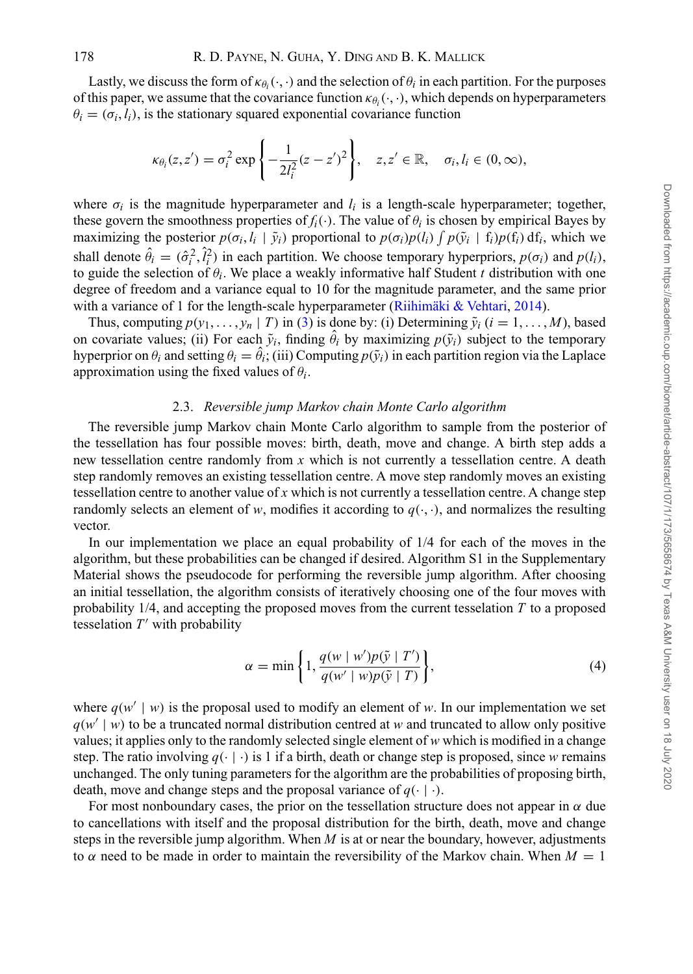<span id="page-5-0"></span>Lastly, we discuss the form of  $\kappa_{\theta_i}(\cdot, \cdot)$  and the selection of  $\theta_i$  in each partition. For the purposes of this paper, we assume that the covariance function  $\kappa_{\theta_i}(\cdot, \cdot)$ , which depends on hyperparameters  $\theta_i = (\sigma_i, l_i)$ , is the stationary squared exponential covariance function

$$
\kappa_{\theta_i}(z, z') = \sigma_i^2 \exp\left\{-\frac{1}{2l_i^2}(z-z')^2\right\}, \quad z, z' \in \mathbb{R}, \quad \sigma_i, l_i \in (0, \infty),
$$

where  $\sigma_i$  is the magnitude hyperparameter and  $l_i$  is a length-scale hyperparameter; together, these govern the smoothness properties of  $f_i(\cdot)$ . The value of  $\theta_i$  is chosen by empirical Bayes by maximizing the posterior  $p(\sigma_i, l_i | \tilde{y}_i)$  proportional to  $p(\sigma_i)p(l_i) \int p(\tilde{y}_i | f_i)p(f_i) df_i$ , which we shall denote  $\hat{\theta}_i = (\hat{\sigma}_i^2, \hat{l}_i^2)$  in each partition. We choose temporary hyperpriors,  $p(\sigma_i)$  and  $p(l_i)$ , to guide the selection of θ*i*. We place a weakly informative half Student *t* distribution with one degree of freedom and a variance equal to 10 for the magnitude parameter, and the same prior with a variance of 1 for the length-scale hyperparameter [\(Riihimäki & Vehtari](#page-17-0), [2014\)](#page-17-0).

Thus, computing  $p(y_1, \ldots, y_n | T)$  in [\(3\)](#page-4-0) is done by: (i) Determining  $\tilde{y}_i$  ( $i = 1, \ldots, M$ ), based on covariate values; (ii) For each  $\tilde{y}_i$ , finding  $\hat{\theta}_i$  by maximizing  $p(\tilde{y}_i)$  subject to the temporary hyperprior on  $\theta_i$  and setting  $\theta_i = \hat{\theta}_i$ ; (iii) Computing  $p(\tilde{y}_i)$  in each partition region via the Laplace approximation using the fixed values of  $\theta_i$ .

## 2.3. *Reversible jump Markov chain Monte Carlo algorithm*

The reversible jump Markov chain Monte Carlo algorithm to sample from the posterior of the tessellation has four possible moves: birth, death, move and change. A birth step adds a new tessellation centre randomly from *x* which is not currently a tessellation centre. A death step randomly removes an existing tessellation centre. A move step randomly moves an existing tessellation centre to another value of *x* which is not currently a tessellation centre. A change step randomly selects an element of *w*, modifies it according to  $q(\cdot, \cdot)$ , and normalizes the resulting vector.

In our implementation we place an equal probability of 1/4 for each of the moves in the algorithm, but these probabilities can be changed if desired. Algorithm S1 in the Supplementary Material shows the pseudocode for performing the reversible jump algorithm. After choosing an initial tessellation, the algorithm consists of iteratively choosing one of the four moves with probability 1/4, and accepting the proposed moves from the current tesselation *T* to a proposed tesselation  $T'$  with probability

$$
\alpha = \min\left\{1, \frac{q(w \mid w')p(\tilde{y} \mid T')}{q(w' \mid w)p(\tilde{y} \mid T)}\right\},\tag{4}
$$

where  $q(w' | w)$  is the proposal used to modify an element of *w*. In our implementation we set  $q(w' | w)$  to be a truncated normal distribution centred at *w* and truncated to allow only positive values; it applies only to the randomly selected single element of *w* which is modified in a change step. The ratio involving  $q(\cdot|\cdot)$  is 1 if a birth, death or change step is proposed, since *w* remains unchanged. The only tuning parameters for the algorithm are the probabilities of proposing birth, death, move and change steps and the proposal variance of  $q(\cdot|\cdot)$ .

For most nonboundary cases, the prior on the tessellation structure does not appear in  $\alpha$  due to cancellations with itself and the proposal distribution for the birth, death, move and change steps in the reversible jump algorithm. When *M* is at or near the boundary, however, adjustments to  $\alpha$  need to be made in order to maintain the reversibility of the Markov chain. When  $M = 1$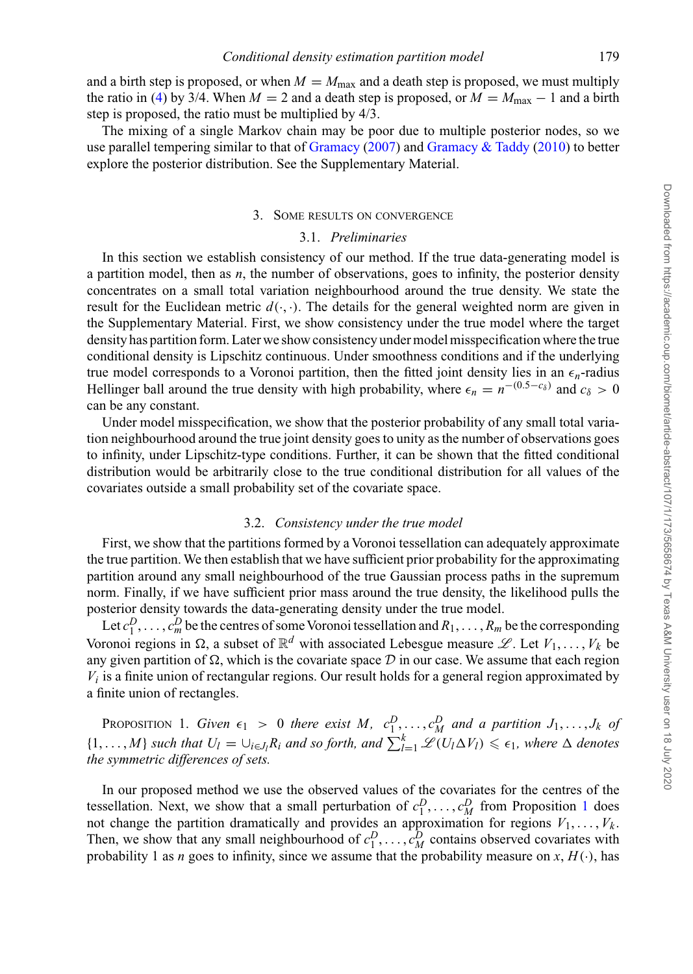<span id="page-6-0"></span>and a birth step is proposed, or when  $M = M_{\text{max}}$  and a death step is proposed, we must multiply the ratio in [\(4\)](#page-5-0) by 3/4. When  $M = 2$  and a death step is proposed, or  $M = M_{\text{max}} - 1$  and a birth step is proposed, the ratio must be multiplied by 4/3.

The mixing of a single Markov chain may be poor due to multiple posterior nodes, so we use parallel tempering similar to that of [Gramacy](#page-16-0) [\(2007\)](#page-16-0) and Gramacy  $&$  Taddy [\(2010](#page-16-0)) to better explore the posterior distribution. See the Supplementary Material.

#### 3. Some results on convergence

## 3.1. *Preliminaries*

In this section we establish consistency of our method. If the true data-generating model is a partition model, then as *n*, the number of observations, goes to infinity, the posterior density concentrates on a small total variation neighbourhood around the true density. We state the result for the Euclidean metric  $d(\cdot, \cdot)$ . The details for the general weighted norm are given in the Supplementary Material. First, we show consistency under the true model where the target density has partition form. Later we show consistency under model misspecification where the true conditional density is Lipschitz continuous. Under smoothness conditions and if the underlying true model corresponds to a Voronoi partition, then the fitted joint density lies in an  $\epsilon_n$ -radius Hellinger ball around the true density with high probability, where  $\epsilon_n = n^{-(0.5-c_\delta)}$  and  $c_\delta > 0$ can be any constant.

Under model misspecification, we show that the posterior probability of any small total variation neighbourhood around the true joint density goes to unity as the number of observations goes to infinity, under Lipschitz-type conditions. Further, it can be shown that the fitted conditional distribution would be arbitrarily close to the true conditional distribution for all values of the covariates outside a small probability set of the covariate space.

#### 3.2. *Consistency under the true model*

First, we show that the partitions formed by a Voronoi tessellation can adequately approximate the true partition.We then establish that we have sufficient prior probability for the approximating partition around any small neighbourhood of the true Gaussian process paths in the supremum norm. Finally, if we have sufficient prior mass around the true density, the likelihood pulls the posterior density towards the data-generating density under the true model.

Let  $c_1^D, \ldots, c_m^D$  be the centres of some Voronoi tessellation and  $R_1, \ldots, R_m$  be the corresponding Voronoi regions in  $\Omega$ , a subset of  $\mathbb{R}^d$  with associated Lebesgue measure L. Let  $V_1, \ldots, V_k$  be any given partition of  $\Omega$ , which is the covariate space D in our case. We assume that each region  $V_i$  is a finite union of rectangular regions. Our result holds for a general region approximated by a finite union of rectangles.

**PROPOSITION** 1. *Given*  $\epsilon_1 > 0$  *there exist M*,  $c_1^D, \ldots, c_M^D$  *and a partition*  $J_1, \ldots, J_k$  *of*  $\{1,\ldots,M\}$  such that  $U_l = \bigcup_{i \in J_l} R_i$  and so forth, and  $\sum_{l=1}^k \mathcal{L}(U_l \Delta V_l) \leq \epsilon_1$ , where  $\Delta$  denotes *the symmetric differences of sets.*

In our proposed method we use the observed values of the covariates for the centres of the tessellation. Next, we show that a small perturbation of  $c_1^D, \ldots, c_M^D$  from Proposition 1 does not change the partition dramatically and provides an approximation for regions  $V_1, \ldots, V_k$ . Then, we show that any small neighbourhood of  $c_1^D, \ldots, c_M^D$  contains observed covariates with probability 1 as *n* goes to infinity, since we assume that the probability measure on *x*,  $H(\cdot)$ , has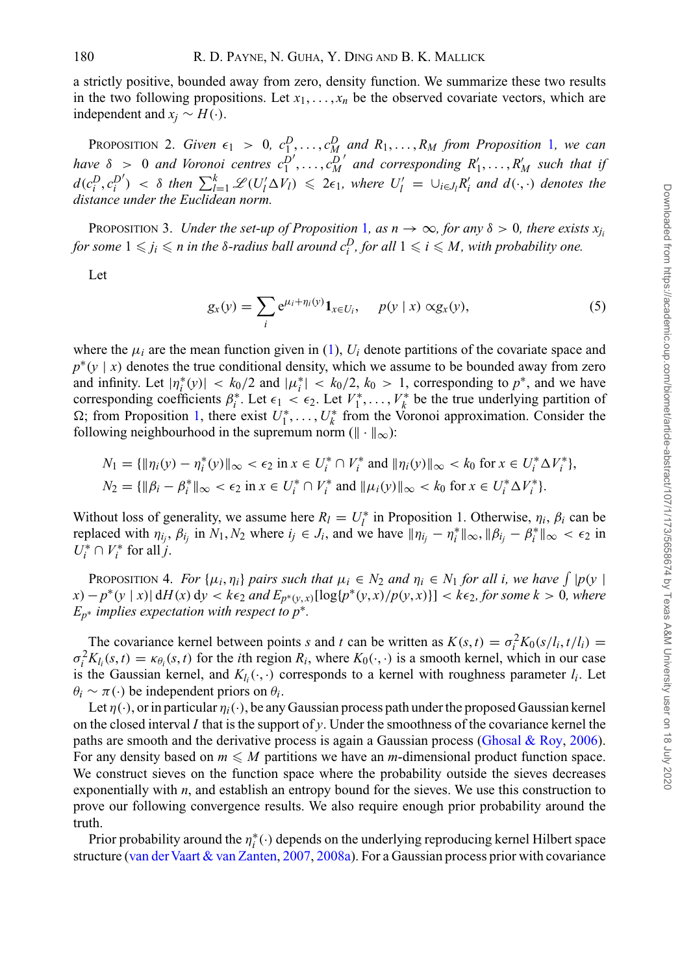<span id="page-7-0"></span>a strictly positive, bounded away from zero, density function. We summarize these two results in the two following propositions. Let  $x_1, \ldots, x_n$  be the observed covariate vectors, which are independent and  $x_i$  ∼  $H(.)$ .

PROPOSITION 2. *Given*  $\epsilon_1 > 0$  $\epsilon_1 > 0$  $\epsilon_1 > 0$ ,  $c_1^D, \ldots, c_M^D$  and  $R_1, \ldots, R_M$  *from Proposition* 1, we can *have*  $\delta > 0$  *and Voronoi centres*  $c_1^D$  $\mathcal{L}'$ ,..., $c_M^{D'}$  and corresponding  $R'_1, \ldots, R'_M$  such that if  $d(c_i^D, c_i^D)$  $\int_{0}^{\infty}$  is then  $\sum_{l=1}^{k} \mathcal{L}(U_{l}^{\prime} \Delta V_{l}) \leq 2\epsilon_{1}$ , where  $U_{l}^{\prime} = \bigcup_{i \in J_{l}} R_{i}^{\prime}$  and  $d(\cdot, \cdot)$  denotes the *distance under the Euclidean norm.*

PROPOSITION 3. *Under the set-up of Proposition* [1](#page-6-0)*, as n*  $\rightarrow \infty$ *, for any*  $\delta > 0$ *, there exists*  $x_{i}$ *for some*  $1 \leq j_i \leq n$  *in the*  $\delta$ -radius ball around  $c_i^D$ , for all  $1 \leq i \leq M$ , with probability one.

Let

$$
g_x(y) = \sum_i e^{\mu_i + \eta_i(y)} \mathbf{1}_{x \in U_i}, \quad p(y \mid x) \propto g_x(y), \tag{5}
$$

where the  $\mu_i$  are the mean function given in [\(1\)](#page-3-0),  $U_i$  denote partitions of the covariate space and *p*<sup>∗</sup>(*y* | *x*) denotes the true conditional density, which we assume to be bounded away from zero and infinity. Let  $|\eta_i^*(y)| < k_0/2$  and  $|\mu_i^*| < k_0/2$ ,  $k_0 > 1$ , corresponding to  $p^*$ , and we have corresponding coefficients  $\beta_i^*$ . Let  $\epsilon_1 < \epsilon_2$ . Let  $V_1^*, \ldots, V_k^*$  be the true underlying partition of  $\Omega$ ; from Proposition [1,](#page-6-0) there exist  $U_1^*, \ldots, U_k^*$  from the Voronoi approximation. Consider the following neighbourhood in the supremum norm ( $\|\cdot\|_{\infty}$ ):

$$
N_1 = \{ \|\eta_i(y) - \eta_i^*(y)\|_{\infty} < \epsilon_2 \text{ in } x \in U_i^* \cap V_i^* \text{ and } \|\eta_i(y)\|_{\infty} < k_0 \text{ for } x \in U_i^* \Delta V_i^* \},
$$
\n
$$
N_2 = \{ \|\beta_i - \beta_i^*\|_{\infty} < \epsilon_2 \text{ in } x \in U_i^* \cap V_i^* \text{ and } \|\mu_i(y)\|_{\infty} < k_0 \text{ for } x \in U_i^* \Delta V_i^* \}.
$$

Without loss of generality, we assume here  $R_l = U_l^*$  in Proposition 1. Otherwise,  $\eta_i$ ,  $\beta_i$  can be replaced with  $\eta_{ij}$ ,  $\beta_{ij}$  in  $N_1, N_2$  where  $i_j \in J_i$ , and we have  $\|\eta_{ij} - \eta_i^*\|_{\infty}$ ,  $\|\beta_{ij} - \beta_i^*\|_{\infty} < \epsilon_2$  in  $U_i^* \cap V_i^*$  for all *j*.

**PROPOSITION 4.** *For*  $\{\mu_i, \eta_i\}$  *pairs such that*  $\mu_i \in N_2$  *and*  $\eta_i \in N_1$  *for all i, we have*  $\int |p(y)|$  $f(x) - p^*(y | x) \, dH(x) \, dy < k\epsilon_2$  and  $E_{p^*(y,x)}[\log\{p^*(y,x)/p(y,x)\}] < k\epsilon_2$ , for some  $k > 0$ , where *Ep*<sup>∗</sup> *implies expectation with respect to p*∗*.*

The covariance kernel between points *s* and *t* can be written as  $K(s, t) = \sigma_i^2 K_0(s/l_i, t/l_i)$  $\sigma_i^2 K_{l_i}(s,t) = \kappa_{\theta_i}(s,t)$  for the *i*th region  $R_i$ , where  $K_0(\cdot, \cdot)$  is a smooth kernel, which in our case is the Gaussian kernel, and  $K_{l_i}(\cdot, \cdot)$  corresponds to a kernel with roughness parameter  $l_i$ . Let  $\theta_i \sim \pi(\cdot)$  be independent priors on  $\theta_i$ .

Let  $\eta(\cdot)$ , or in particular  $\eta_i(\cdot)$ , be any Gaussian process path under the proposed Gaussian kernel on the closed interval *I* that is the support of *y*. Under the smoothness of the covariance kernel the paths are smooth and the derivative process is again a Gaussian process [\(Ghosal & Roy](#page-16-0), [2006\)](#page-16-0). For any density based on  $m \leq M$  partitions we have an *m*-dimensional product function space. We construct sieves on the function space where the probability outside the sieves decreases exponentially with *n*, and establish an entropy bound for the sieves. We use this construction to prove our following convergence results. We also require enough prior probability around the truth.

Prior probability around the  $\eta_i^* (·)$  depends on the underlying reproducing kernel Hilbert space structure [\(van der Vaart & van Zanten,](#page-17-0) [2007](#page-17-0), [2008a\)](#page-17-0). For a Gaussian process prior with covariance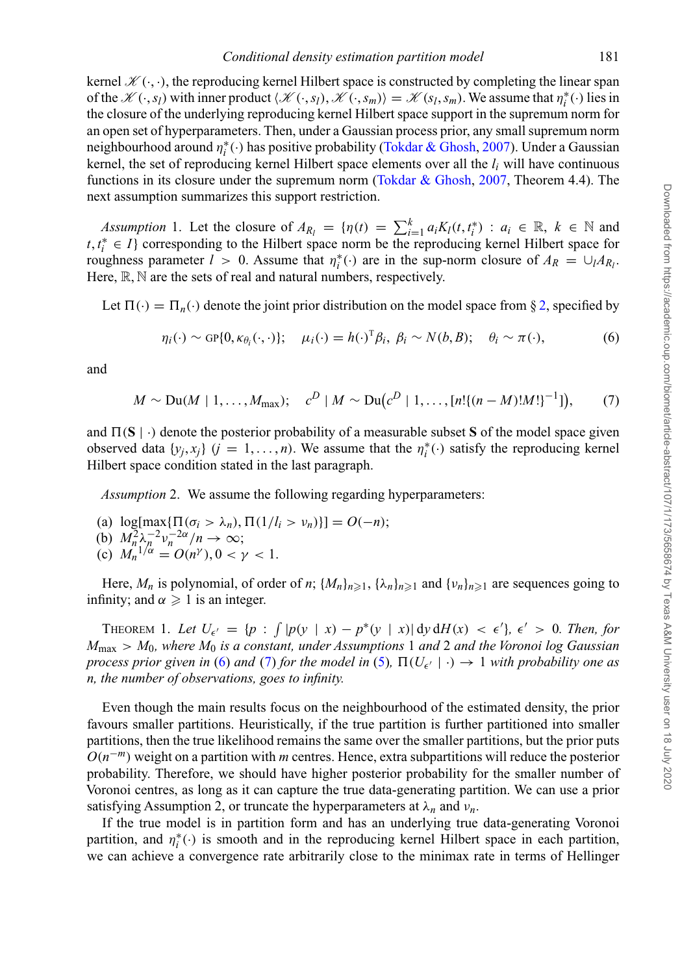<span id="page-8-0"></span>kernel  $\mathcal{K}(\cdot,\cdot)$ , the reproducing kernel Hilbert space is constructed by completing the linear span of the  $\mathcal{K}(\cdot, s_i)$  with inner product  $\langle \mathcal{K}(\cdot, s_i), \mathcal{K}(\cdot, s_m) \rangle = \mathcal{K}(s_i, s_m)$ . We assume that  $\eta_i^*(\cdot)$  lies in the closure of the underlying reproducing kernel Hilbert space support in the supremum norm for an open set of hyperparameters. Then, under a Gaussian process prior, any small supremum norm neighbourhood around η<sup>∗</sup> *<sup>i</sup>* (·) has positive probability [\(Tokdar & Ghosh,](#page-17-0) [2007\)](#page-17-0). Under a Gaussian kernel, the set of reproducing kernel Hilbert space elements over all the *li* will have continuous functions in its closure under the supremum norm [\(Tokdar & Ghosh](#page-17-0), [2007](#page-17-0), Theorem 4.4). The next assumption summarizes this support restriction.

*Assumption* 1. Let the closure of  $A_{R_l} = \{\eta(t) = \sum_{i=1}^k a_i K_l(t, t_i^*) : a_i \in \mathbb{R}, k \in \mathbb{N} \text{ and } I \neq \emptyset\}$ *t*,  $t_i^*$  ∈ *I*} corresponding to the Hilbert space norm be the reproducing kernel Hilbert space for roughness parameter  $l > 0$ . Assume that  $\eta_i^*(\cdot)$  are in the sup-norm closure of  $A_R = \bigcup_l A_{R_l}$ . Here,  $\mathbb{R}, \mathbb{N}$  are the sets of real and natural numbers, respectively.

Let  $\Pi(\cdot) = \Pi_n(\cdot)$  denote the joint prior distribution on the model space from § [2,](#page-3-0) specified by

$$
\eta_i(\cdot) \sim \text{GP}\{0, \kappa_{\theta_i}(\cdot, \cdot)\}; \quad \mu_i(\cdot) = h(\cdot)^{\text{T}} \beta_i, \ \beta_i \sim N(b, B); \quad \theta_i \sim \pi(\cdot), \tag{6}
$$

and

*M* ∼ Du(*M* | 1, ..., *M*<sub>max</sub>); *c*<sup>*D*</sup> | *M* ∼ Du(*c*<sup>*D*</sup> | 1, ..., [*n*!{(*n* − *M*)!*M*!}<sup>-1</sup>])  $(7)$ 

and  $\Pi(S \mid \cdot)$  denote the posterior probability of a measurable subset S of the model space given observed data  $\{y_j, x_j\}$  (*j* = 1, ..., *n*). We assume that the  $\eta_i^*(\cdot)$  satisfy the reproducing kernel Hilbert space condition stated in the last paragraph.

*Assumption* 2. We assume the following regarding hyperparameters:

(a)  $\log[\max{\{\Pi(\sigma_i > \lambda_n), \Pi(1/l_i > v_n)\}}] = O(-n);$ 

(b)  $M_n^2 \lambda_n^{-2} \nu_n^{-2\alpha}/n \to \infty;$ 

(c)  $M_n^{-1/\alpha} = O(n^{\gamma}), 0 < \gamma < 1.$ 

Here,  $M_n$  is polynomial, of order of *n*;  $\{M_n\}_{n\geq 1}$ ,  $\{\lambda_n\}_{n\geq 1}$  and  $\{v_n\}_{n\geq 1}$  are sequences going to infinity; and  $\alpha \geq 1$  is an integer.

THEOREM 1. Let  $U_{\epsilon'} = \{p : \int |p(y | x) - p^*(y | x)| dy dH(x) < \epsilon'\}, \epsilon' > 0$ . Then, for *M*max > *M*0*, where M*<sup>0</sup> *is a constant, under Assumptions* 1 *and* 2 *and the Voronoi log Gaussian process prior given in* (6) *and* (7) *for the model in* [\(5\)](#page-7-0),  $\Pi(U_{\epsilon'} | \cdot) \rightarrow 1$  *with probability one as n, the number of observations, goes to infinity.*

Even though the main results focus on the neighbourhood of the estimated density, the prior favours smaller partitions. Heuristically, if the true partition is further partitioned into smaller partitions, then the true likelihood remains the same over the smaller partitions, but the prior puts *O*( $n^{-m}$ ) weight on a partition with *m* centres. Hence, extra subpartitions will reduce the posterior probability. Therefore, we should have higher posterior probability for the smaller number of Voronoi centres, as long as it can capture the true data-generating partition. We can use a prior satisfying Assumption 2, or truncate the hyperparameters at  $\lambda_n$  and  $\nu_n$ .

If the true model is in partition form and has an underlying true data-generating Voronoi partition, and  $\eta_i^*(\cdot)$  is smooth and in the reproducing kernel Hilbert space in each partition, we can achieve a convergence rate arbitrarily close to the minimax rate in terms of Hellinger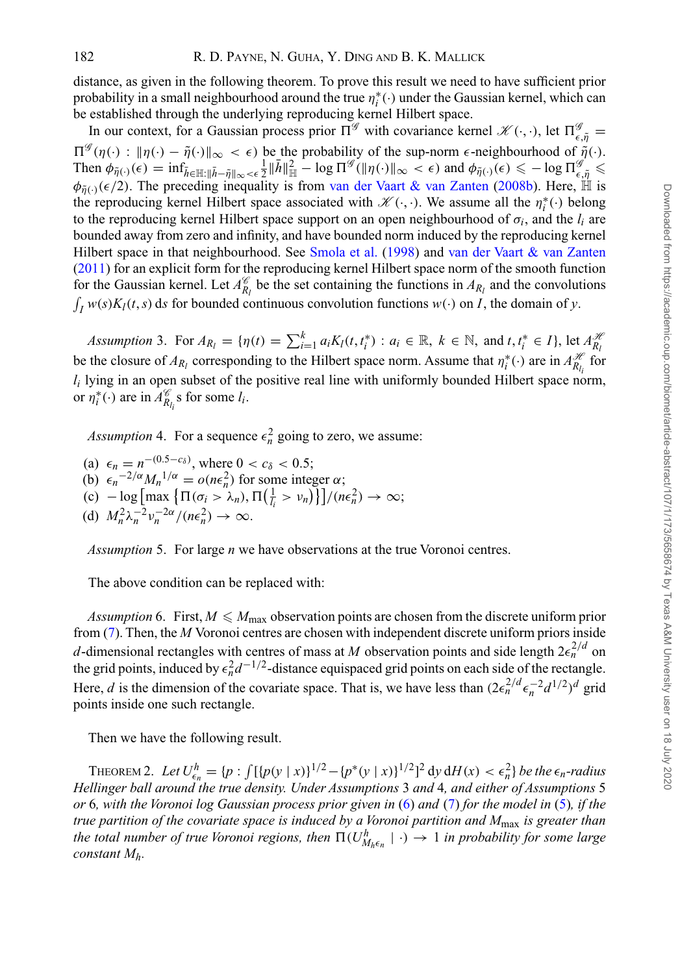distance, as given in the following theorem. To prove this result we need to have sufficient prior probability in a small neighbourhood around the true  $\eta_i^*(\cdot)$  under the Gaussian kernel, which can be established through the underlying reproducing kernel Hilbert space.

In our context, for a Gaussian process prior  $\Pi^{\mathscr{G}}$  with covariance kernel  $\mathscr{K}(\cdot,\cdot)$ , let  $\Pi^{\mathscr{G}}_{\epsilon,\tilde{\eta}}=$  $\Pi^{\mathscr{G}}(\eta(\cdot) : \|\eta(\cdot) - \tilde{\eta}(\cdot)\|_{\infty} < \epsilon)$  be the probability of the sup-norm  $\epsilon$ -neighbourhood of  $\tilde{\eta}(\cdot)$ . Then  $\phi_{\tilde{\eta}(\cdot)}(\epsilon) = \inf_{\bar{h} \in \mathbb{H} : \|\bar{h} - \tilde{\eta}\|_{\infty} < \epsilon} \frac{1}{2} \|\bar{h}\|_{\mathbb{H}}^2 - \log \Pi^{\mathscr{G}}(\|\eta(\cdot)\|_{\infty} < \epsilon)$  and  $\phi_{\tilde{\eta}(\cdot)}(\epsilon) \leq -\log \Pi^{\mathscr{G}}_{\epsilon, \tilde{\eta}} \leq$  $\phi_{\tilde{n}(\cdot)}(\epsilon/2)$ . The preceding inequality is from [van der Vaart & van Zanten](#page-17-0) [\(2008b\)](#page-17-0). Here,  $\tilde{H}$  is the reproducing kernel Hilbert space associated with  $\mathcal{K}(\cdot, \cdot)$ . We assume all the  $\eta_i^*(\cdot)$  belong to the reproducing kernel Hilbert space support on an open neighbourhood of  $\sigma_i$ , and the  $l_i$  are bounded away from zero and infinity, and have bounded norm induced by the reproducing kernel Hilbert space in that neighbourhood. See [Smola et al.](#page-17-0) [\(1998\)](#page-17-0) and [van der Vaart & van Zanten](#page-17-0) [\(2011](#page-17-0)) for an explicit form for the reproducing kernel Hilbert space norm of the smooth function for the Gaussian kernel. Let  $A_{R_l}^{\mathscr{C}}$  be the set containing the functions in  $A_{R_l}$  and the convolutions  $\int_I w(s)K_I(t, s)$  ds for bounded continuous convolution functions  $w(\cdot)$  on *I*, the domain of *y*.

*Assumption* 3. For  $A_{R_l} = \{ \eta(t) = \sum_{i=1}^k a_i K_l(t, t_i^*) : a_i \in \mathbb{R}, k \in \mathbb{N}, \text{ and } t, t_i^* \in I \}, \text{ let } A_{R_l}^{\mathcal{H}} \in \mathbb{R}$ be the closure of  $A_{R_l}$  corresponding to the Hilbert space norm. Assume that  $\eta_i^*(\cdot)$  are in  $A_{R_{l_i}}^{\mathcal{H}}$  for *li* lying in an open subset of the positive real line with uniformly bounded Hilbert space norm, or  $\eta_i^*(\cdot)$  are in  $\hat{A}_{R_{l_i}}^{\mathscr{C}}$  is for some  $l_i$ .

*Assumption* 4. For a sequence  $\epsilon_n^2$  going to zero, we assume:

(a)  $\epsilon_n = n^{-(0.5 - c_\delta)}$ , where  $0 < c_\delta < 0.5$ ; (b)  $\epsilon_n^{-2/\alpha} M_n^{-1/\alpha} = o(n\epsilon_n^2)$  for some integer  $\alpha$ ;  $\left[\cos(-\log\left[\max\left\{\Pi(\sigma_i > \lambda_n), \Pi\left(\frac{1}{l_i} > \nu_n\right)\right\}\right] / (n\epsilon_n^2) \to \infty\right]$ (d)  $M_n^2 \lambda_n^{-2} \nu_n^{-2\alpha} / (n \epsilon_n^2) \rightarrow \infty$ .

*Assumption* 5. For large *n* we have observations at the true Voronoi centres.

The above condition can be replaced with:

*Assumption* 6. First,  $M \le M_{\text{max}}$  observation points are chosen from the discrete uniform prior from [\(7\)](#page-8-0). Then, the *M* Voronoi centres are chosen with independent discrete uniform priors inside *d*-dimensional rectangles with centres of mass at *M* observation points and side length  $2\epsilon_n^{2/d}$  on the grid points, induced by  $\epsilon_n^2 d^{-1/2}$ -distance equispaced grid points on each side of the rectangle. Here, *d* is the dimension of the covariate space. That is, we have less than  $(2\epsilon_n^{2/d} \epsilon_n^{-2} d^{1/2})^d$  grid points inside one such rectangle.

Then we have the following result.

THEOREM 2. Let  $U_{\epsilon_n}^h = \{p : \int [\{p(y \mid x)\}^{1/2} - \{p^*(y \mid x)\}^{1/2}]^2 \, dy \, dH(x) < \epsilon_n^2\}$  be the  $\epsilon_n$ -radius *Hellinger ball around the true density. Under Assumptions* 3 *and* 4*, and either of Assumptions* 5 *or* 6*, with the Voronoi log Gaussian process prior given in* [\(6\)](#page-8-0) *and* [\(7\)](#page-8-0) *for the model in* [\(5\)](#page-7-0)*, if the true partition of the covariate space is induced by a Voronoi partition and M*max *is greater than the total number of true Voronoi regions, then*  $\Pi(U^h_{M_h \epsilon_n} | \cdot) \to 1$  *in probability for some large constant Mh.*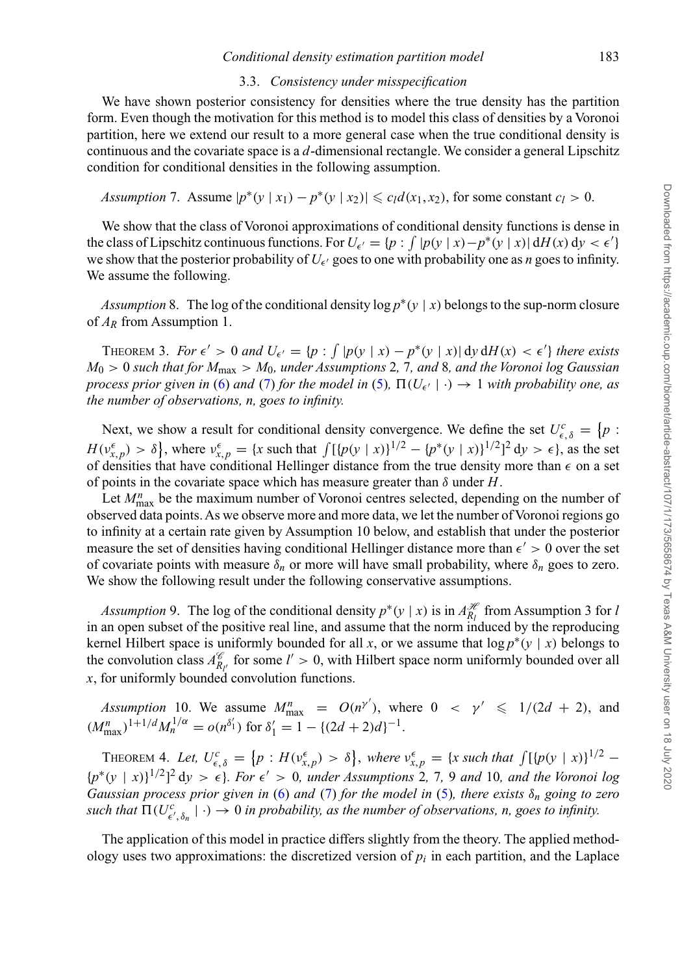#### 3.3. *Consistency under misspecification*

We have shown posterior consistency for densities where the true density has the partition form. Even though the motivation for this method is to model this class of densities by a Voronoi partition, here we extend our result to a more general case when the true conditional density is continuous and the covariate space is a *d*-dimensional rectangle. We consider a general Lipschitz condition for conditional densities in the following assumption.

*Assumption* 7. Assume  $|p^*(y | x_1) - p^*(y | x_2)| \le c_l d(x_1, x_2)$ , for some constant  $c_l > 0$ .

We show that the class of Voronoi approximations of conditional density functions is dense in the class of Lipschitz continuous functions. For  $U_{\epsilon'} = \{p : \int |p(y | x) - p^*(y | x)| dH(x) dy < \epsilon'\}$ we show that the posterior probability of  $U_{\epsilon'}$  goes to one with probability one as *n* goes to infinity. We assume the following.

*Assumption* 8. The log of the conditional density log *p*∗(*y* | *x*) belongs to the sup-norm closure of *AR* from Assumption 1.

THEOREM 3. *For*  $\epsilon' > 0$  *and*  $U_{\epsilon'} = \{p : \int |p(y | x) - p^*(y | x)| \, dy \, dH(x) < \epsilon'\}$  there exists *M*<sup>0</sup> > 0 *such that for M*max > *M*0*, under Assumptions* 2*,* 7*, and* 8*, and the Voronoi log Gaussian process prior given in* [\(6\)](#page-8-0) *and* [\(7\)](#page-8-0) *for the model in* [\(5\)](#page-7-0),  $\Pi(U_{\epsilon'} | \cdot) \rightarrow 1$  *with probability one, as the number of observations, n, goes to infinity.*

Next, we show a result for conditional density convergence. We define the set  $U_{\epsilon,\delta}^c = \{p :$  $H(v_{x,p}^{\epsilon}) > \delta$ , where  $v_{x,p}^{\epsilon} = \{x \text{ such that } \int [\{p(y | x)\}^{1/2} - \{p^*(y | x)\}^{1/2}]^2 dy > \epsilon\}$ , as the set of densities that have conditional Hellinger distance from the true density more than  $\epsilon$  on a set of points in the covariate space which has measure greater than δ under *H*.

Let  $M^n_{\text{max}}$  be the maximum number of Voronoi centres selected, depending on the number of observed data points. As we observe more and more data, we let the number of Voronoi regions go to infinity at a certain rate given by Assumption 10 below, and establish that under the posterior measure the set of densities having conditional Hellinger distance more than  $\epsilon' > 0$  over the set of covariate points with measure  $\delta_n$  or more will have small probability, where  $\delta_n$  goes to zero. We show the following result under the following conservative assumptions.

*Assumption* 9. The log of the conditional density  $p^*(y | x)$  is in  $A_{R_l}^{\mathcal{H}}$  from Assumption 3 for *l* in an open subset of the positive real line, and assume that the norm induced by the reproducing kernel Hilbert space is uniformly bounded for all *x*, or we assume that  $\log p^*(y | x)$  belongs to the convolution class  $A_{R_l}^{\mathscr{C}}$  for some  $l' > 0$ , with Hilbert space norm uniformly bounded over all *x*, for uniformly bounded convolution functions.

*Assumption* 10. We assume  $M_{\text{max}}^n = O(n^{\gamma})$ , where  $0 < \gamma' \le 1/(2d + 2)$ , and  $(M_{\text{max}}^n)^{1+1/d} M_n^{1/\alpha} = o(n^{\delta'_1}) \text{ for } \delta'_1 = 1 - \{(2d+2)d\}^{-1}.$ 

THEOREM 4. Let,  $U_{\epsilon,\delta}^c = \{p : H(v_{x,p}^{\epsilon}) > \delta\}$ , where  $v_{x,p}^{\epsilon} = \{x \text{ such that } \int [\{p(y \mid x)\}^{1/2} {p^*(y | x)}^{1/2}$ <sup>2</sup> dy >  $\epsilon$ *}. For*  $\epsilon' > 0$ *, under Assumptions* 2*,* 7*,* 9 *and* 10*, and the Voronoi log Gaussian process prior given in* [\(6\)](#page-8-0) *and* [\(7\)](#page-8-0) *for the model in* [\(5\)](#page-7-0)*, there exists* δ*<sup>n</sup> going to zero* such that  $\Pi(U_{\epsilon',\delta_n}^c|\cdot) \to 0$  in probability, as the number of observations, n, goes to infinity.

The application of this model in practice differs slightly from the theory. The applied methodology uses two approximations: the discretized version of  $p_i$  in each partition, and the Laplace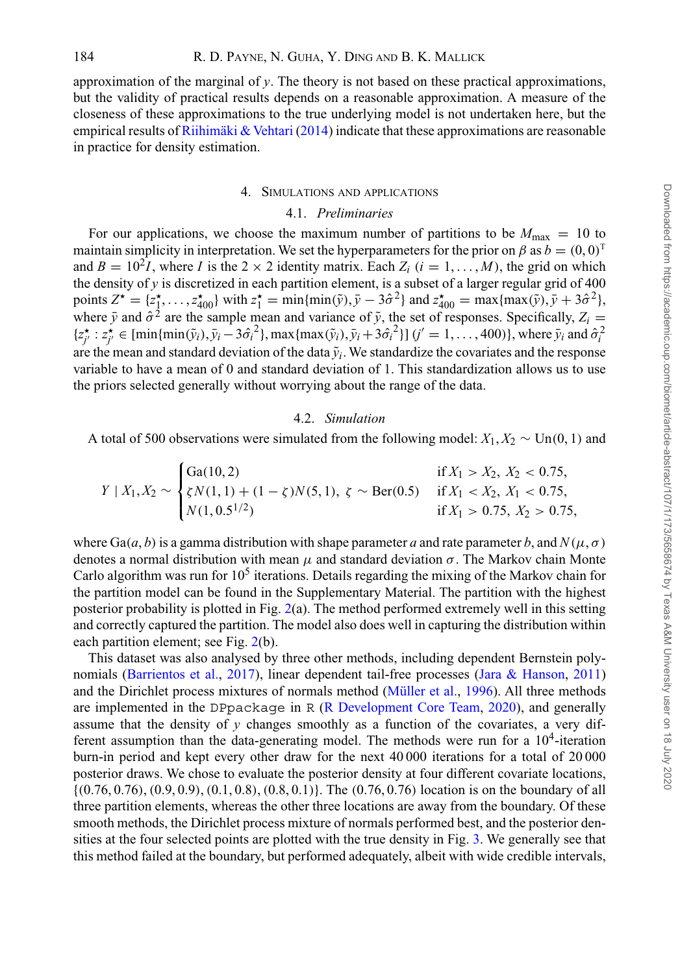<span id="page-11-0"></span>approximation of the marginal of *y*. The theory is not based on these practical approximations, but the validity of practical results depends on a reasonable approximation. A measure of the closeness of these approximations to the true underlying model is not undertaken here, but the empirical results of [Riihimäki & Vehtari](#page-17-0) [\(2014](#page-17-0)) indicate that these approximations are reasonable in practice for density estimation.

## 4. Simulations and applications

## 4.1. *Preliminaries*

For our applications, we choose the maximum number of partitions to be  $M_{\text{max}} = 10$  to maintain simplicity in interpretation. We set the hyperparameters for the prior on  $\beta$  as  $b = (0, 0)^T$ and  $B = 10^2 I$ , where *I* is the 2 × 2 identity matrix. Each  $Z_i$  ( $i = 1, ..., M$ ), the grid on which the density of *y* is discretized in each partition element, is a subset of a larger regular grid of 400 points  $Z^* = \{z_1^*, \ldots, z_{400}^*\}$  with  $z_1^* = \min\{\min(\tilde{y}), \bar{y} - 3\hat{\sigma}^2\}$  and  $z_{400}^* = \max\{\max(\tilde{y}), \bar{y} + 3\hat{\sigma}^2\}$ , where  $\bar{y}$  and  $\hat{\sigma}^2$  are the sample mean and variance of  $\tilde{y}$ , the set of responses. Specifically,  $Z_i$  =  $\{z_j^{\star}: z_{j'}^{\star} \in [\min\{\min(\tilde{y}_i), \bar{y}_i - 3\hat{\sigma}_i^2\}, \max\{\max(\tilde{y}_i), \bar{y}_i + 3\hat{\sigma}_i^2\}] \ (j' = 1, \ldots, 400)\},\$  where  $\bar{y}_i$  and  $\hat{\sigma}_i^2$ are the mean and standard deviation of the data  $\tilde{y}_i$ . We standardize the covariates and the response variable to have a mean of 0 and standard deviation of 1. This standardization allows us to use the priors selected generally without worrying about the range of the data.

### 4.2. *Simulation*

A total of 500 observations were simulated from the following model:  $X_1, X_2 \sim \text{Un}(0, 1)$  and

$$
Y | X_1, X_2 \sim \begin{cases} \text{Ga}(10, 2) & \text{if } X_1 > X_2, X_2 < 0.75, \\ \zeta N(1, 1) + (1 - \zeta)N(5, 1), \ \zeta \sim \text{Ber}(0.5) & \text{if } X_1 < X_2, X_1 < 0.75, \\ N(1, 0.5^{1/2}) & \text{if } X_1 > 0.75, X_2 > 0.75, \end{cases}
$$

where Ga( $a$ ,  $b$ ) is a gamma distribution with shape parameter *a* and rate parameter  $b$ , and  $N(\mu, \sigma)$ denotes a normal distribution with mean  $\mu$  and standard deviation  $\sigma$ . The Markov chain Monte Carlo algorithm was run for  $10<sup>5</sup>$  iterations. Details regarding the mixing of the Markov chain for the partition model can be found in the Supplementary Material. The partition with the highest posterior probability is plotted in Fig. [2\(](#page-12-0)a). The method performed extremely well in this setting and correctly captured the partition. The model also does well in capturing the distribution within each partition element; see Fig. [2\(](#page-12-0)b).

This dataset was also analysed by three other methods, including dependent Bernstein polynomials [\(Barrientos et al.,](#page-16-0) [2017](#page-16-0)), linear dependent tail-free processes [\(Jara & Hanson,](#page-16-0) [2011](#page-16-0)) and the Dirichlet process mixtures of normals method [\(Müller et al.](#page-16-0), [1996](#page-16-0)). All three methods are implemented in the DPpackage in R [\(R Development Core Team](#page-16-0), [2020\)](#page-16-0), and generally assume that the density of *y* changes smoothly as a function of the covariates, a very different assumption than the data-generating model. The methods were run for a  $10<sup>4</sup>$ -iteration burn-in period and kept every other draw for the next 40 000 iterations for a total of 20 000 posterior draws. We chose to evaluate the posterior density at four different covariate locations,  $\{(0.76, 0.76), (0.9, 0.9), (0.1, 0.8), (0.8, 0.1)\}\$ . The  $(0.76, 0.76)$  location is on the boundary of all three partition elements, whereas the other three locations are away from the boundary. Of these smooth methods, the Dirichlet process mixture of normals performed best, and the posterior densities at the four selected points are plotted with the true density in Fig. [3.](#page-13-0) We generally see that this method failed at the boundary, but performed adequately, albeit with wide credible intervals,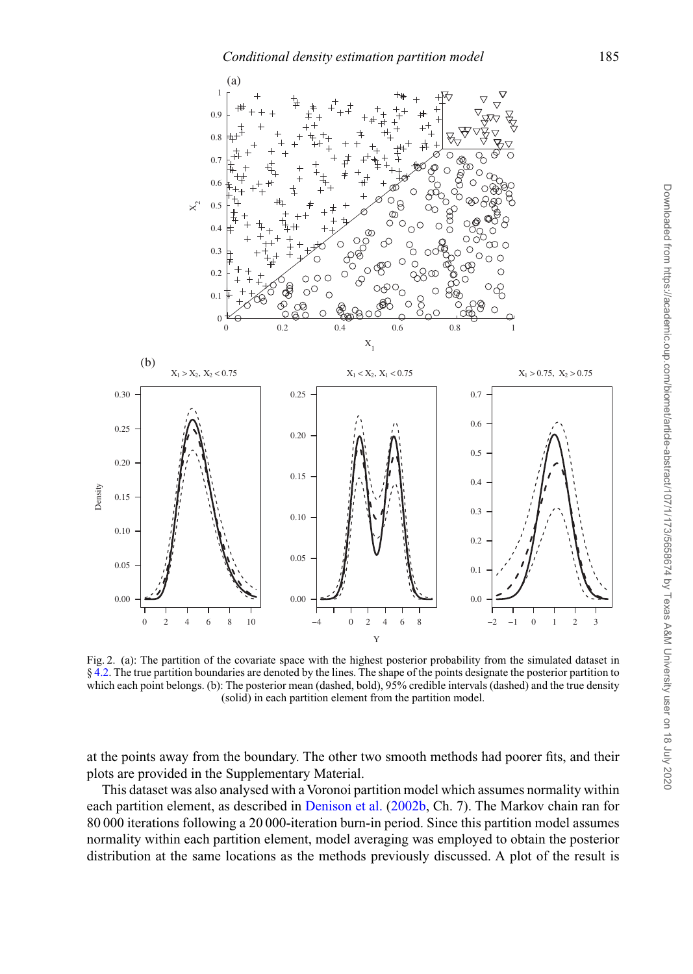<span id="page-12-0"></span>

Fig. 2. (a): The partition of the covariate space with the highest posterior probability from the simulated dataset in  $§$  [4.2.](#page-11-0) The true partition boundaries are denoted by the lines. The shape of the points designate the posterior partition to which each point belongs. (b): The posterior mean (dashed, bold), 95% credible intervals (dashed) and the true density (solid) in each partition element from the partition model.

at the points away from the boundary. The other two smooth methods had poorer fits, and their plots are provided in the Supplementary Material.

This dataset was also analysed with a Voronoi partition model which assumes normality within each partition element, as described in [Denison et al.](#page-16-0) [\(2002b,](#page-16-0) Ch. 7). The Markov chain ran for 80 000 iterations following a 20 000-iteration burn-in period. Since this partition model assumes normality within each partition element, model averaging was employed to obtain the posterior distribution at the same locations as the methods previously discussed. A plot of the result is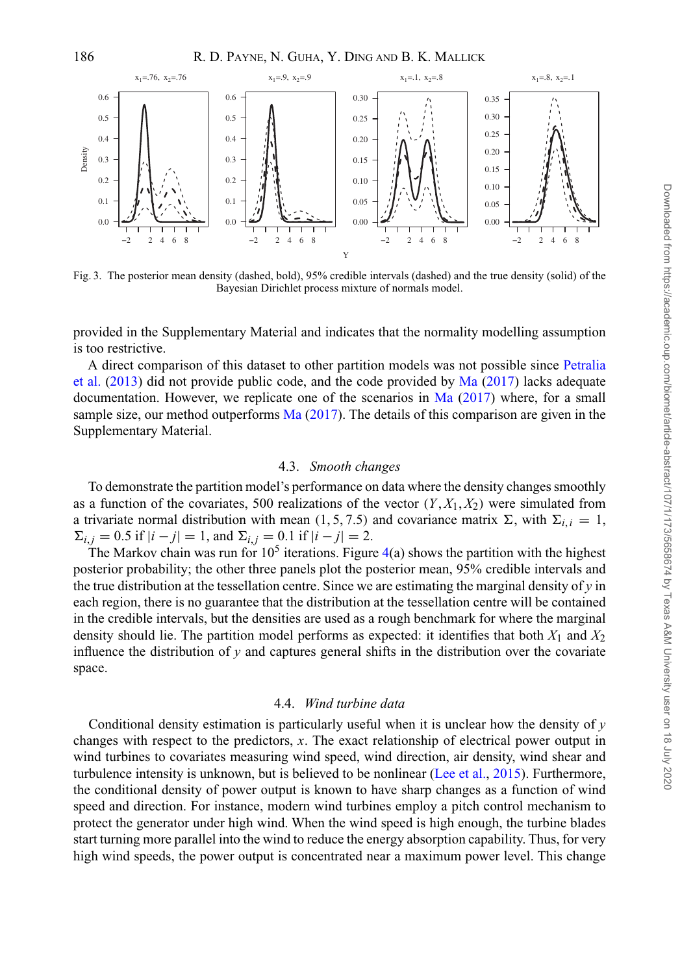<span id="page-13-0"></span>

Fig. 3. The posterior mean density (dashed, bold), 95% credible intervals (dashed) and the true density (solid) of the Bayesian Dirichlet process mixture of normals model.

provided in the Supplementary Material and indicates that the normality modelling assumption is too restrictive.

A [direct comparison of this dataset to other partition models was not possible since](#page-16-0) Petralia et al. [\(2013](#page-16-0)) did not provide public code, and the code provided by [Ma](#page-16-0) [\(2017](#page-16-0)) lacks adequate documentation. However, we replicate one of the scenarios in [Ma](#page-16-0) [\(2017](#page-16-0)) where, for a small sample size, our method outperforms [Ma](#page-16-0) [\(2017](#page-16-0)). The details of this comparison are given in the Supplementary Material.

#### 4.3. *Smooth changes*

To demonstrate the partition model's performance on data where the density changes smoothly as a function of the covariates, 500 realizations of the vector  $(Y, X_1, X_2)$  were simulated from a trivariate normal distribution with mean (1, 5, 7.5) and covariance matrix  $\Sigma$ , with  $\Sigma_{i,i} = 1$ ,  $\Sigma_{i,j} = 0.5$  if  $|i - j| = 1$ , and  $\Sigma_{i,j} = 0.1$  if  $|i - j| = 2$ .

The Markov chain was run for  $10^5$  iterations. Figure [4\(](#page-14-0)a) shows the partition with the highest posterior probability; the other three panels plot the posterior mean, 95% credible intervals and the true distribution at the tessellation centre. Since we are estimating the marginal density of *y* in each region, there is no guarantee that the distribution at the tessellation centre will be contained in the credible intervals, but the densities are used as a rough benchmark for where the marginal density should lie. The partition model performs as expected: it identifies that both *X*<sup>1</sup> and *X*<sup>2</sup> influence the distribution of *y* and captures general shifts in the distribution over the covariate space.

#### 4.4. *Wind turbine data*

Conditional density estimation is particularly useful when it is unclear how the density of *y* changes with respect to the predictors, *x*. The exact relationship of electrical power output in wind turbines to covariates measuring wind speed, wind direction, air density, wind shear and turbulence intensity is unknown, but is believed to be nonlinear [\(Lee et al.,](#page-16-0) [2015](#page-16-0)). Furthermore, the conditional density of power output is known to have sharp changes as a function of wind speed and direction. For instance, modern wind turbines employ a pitch control mechanism to protect the generator under high wind. When the wind speed is high enough, the turbine blades start turning more parallel into the wind to reduce the energy absorption capability. Thus, for very high wind speeds, the power output is concentrated near a maximum power level. This change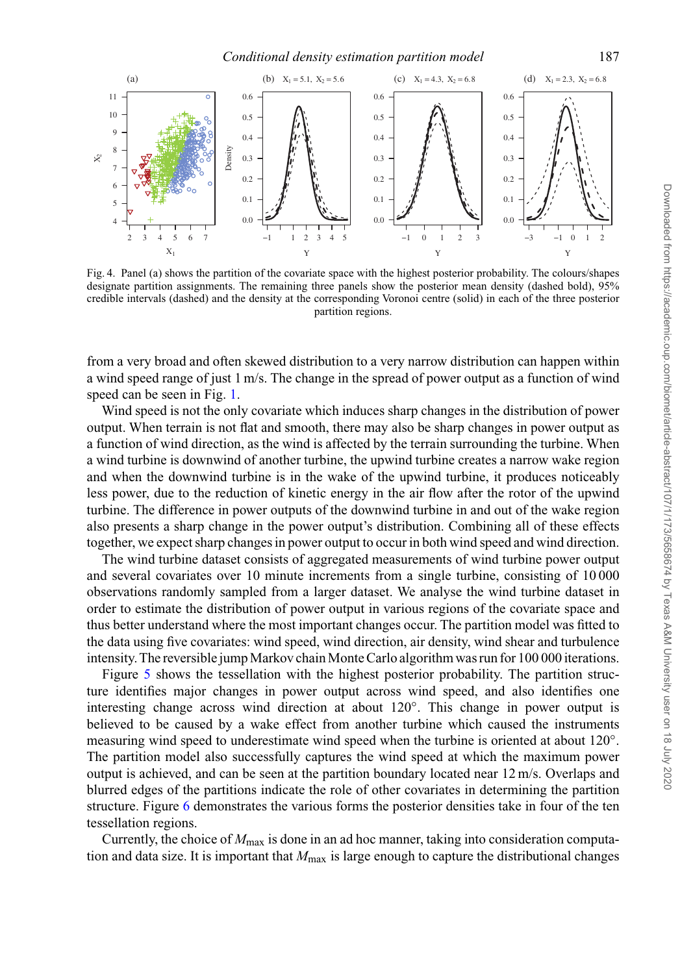<span id="page-14-0"></span>

Fig. 4. Panel (a) shows the partition of the covariate space with the highest posterior probability. The colours/shapes designate partition assignments. The remaining three panels show the posterior mean density (dashed bold), 95% credible intervals (dashed) and the density at the corresponding Voronoi centre (solid) in each of the three posterior partition regions.

from a very broad and often skewed distribution to a very narrow distribution can happen within a wind speed range of just 1 m/s. The change in the spread of power output as a function of wind speed can be seen in Fig. [1.](#page-2-0)

Wind speed is not the only covariate which induces sharp changes in the distribution of power output. When terrain is not flat and smooth, there may also be sharp changes in power output as a function of wind direction, as the wind is affected by the terrain surrounding the turbine. When a wind turbine is downwind of another turbine, the upwind turbine creates a narrow wake region and when the downwind turbine is in the wake of the upwind turbine, it produces noticeably less power, due to the reduction of kinetic energy in the air flow after the rotor of the upwind turbine. The difference in power outputs of the downwind turbine in and out of the wake region also presents a sharp change in the power output's distribution. Combining all of these effects together, we expect sharp changes in power output to occur in both wind speed and wind direction.

The wind turbine dataset consists of aggregated measurements of wind turbine power output and several covariates over 10 minute increments from a single turbine, consisting of 10 000 observations randomly sampled from a larger dataset. We analyse the wind turbine dataset in order to estimate the distribution of power output in various regions of the covariate space and thus better understand where the most important changes occur. The partition model was fitted to the data using five covariates: wind speed, wind direction, air density, wind shear and turbulence intensity. The reversible jump Markov chain Monte Carlo algorithm was run for 100 000 iterations.

Figure [5](#page-15-0) shows the tessellation with the highest posterior probability. The partition structure identifies major changes in power output across wind speed, and also identifies one interesting change across wind direction at about 120◦. This change in power output is believed to be caused by a wake effect from another turbine which caused the instruments measuring wind speed to underestimate wind speed when the turbine is oriented at about 120◦. The partition model also successfully captures the wind speed at which the maximum power output is achieved, and can be seen at the partition boundary located near 12 m/s. Overlaps and blurred edges of the partitions indicate the role of other covariates in determining the partition structure. Figure [6](#page-15-0) demonstrates the various forms the posterior densities take in four of the ten tessellation regions.

Currently, the choice of *M*max is done in an ad hoc manner, taking into consideration computation and data size. It is important that *M*max is large enough to capture the distributional changes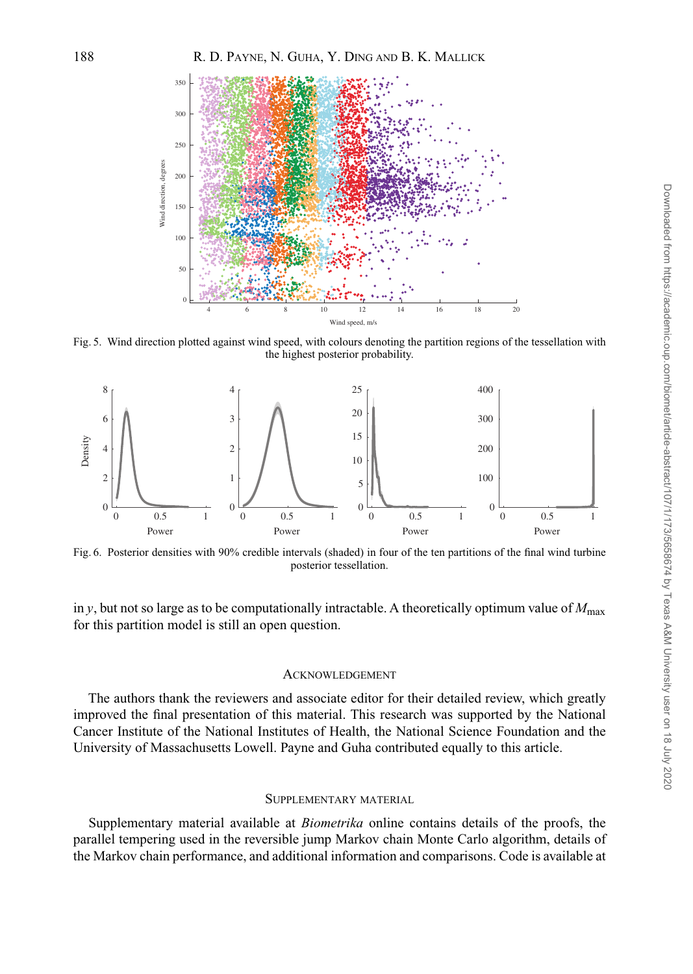<span id="page-15-0"></span>

Fig. 5. Wind direction plotted against wind speed, with colours denoting the partition regions of the tessellation with the highest posterior probability.



Fig. 6. Posterior densities with 90% credible intervals (shaded) in four of the ten partitions of the final wind turbine posterior tessellation.

in *y*, but not so large as to be computationally intractable. A theoretically optimum value of  $M_{\text{max}}$ for this partition model is still an open question.

#### **ACKNOWLEDGEMENT**

The authors thank the reviewers and associate editor for their detailed review, which greatly improved the final presentation of this material. This research was supported by the National Cancer Institute of the National Institutes of Health, the National Science Foundation and the University of Massachusetts Lowell. Payne and Guha contributed equally to this article.

#### Supplementary material

Supplementary material available at *Biometrika* online contains details of the proofs, the parallel tempering used in the reversible jump Markov chain Monte Carlo algorithm, details of the Markov chain performance, and additional information and comparisons. Code is available at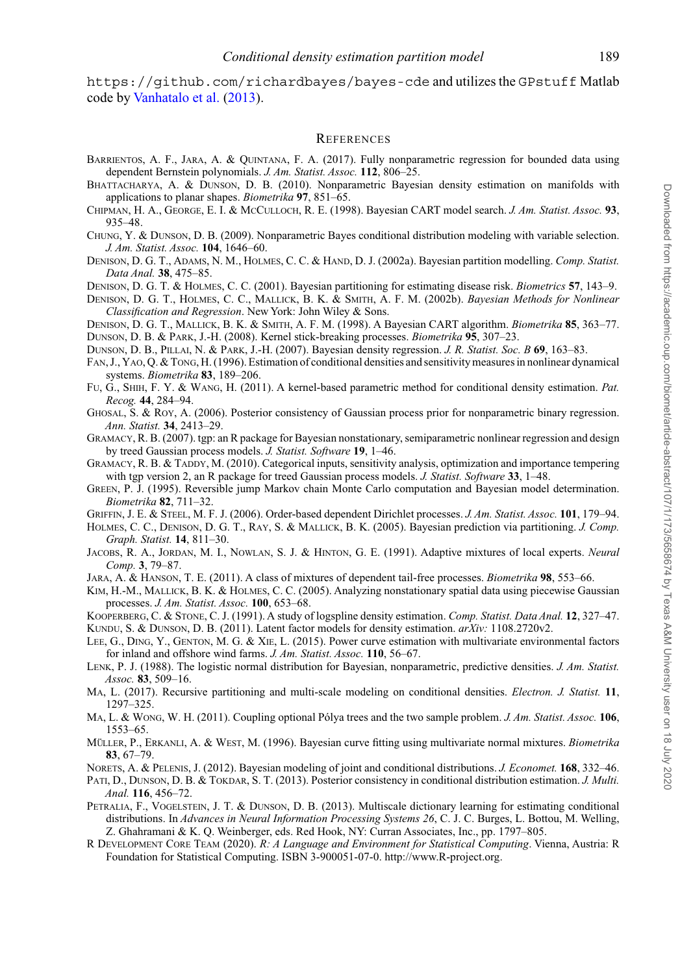<span id="page-16-0"></span>https://github.com/richardbayes/bayes-cde and utilizes the GPstuff Matlab code by [Vanhatalo et al.](#page-17-0) [\(2013](#page-17-0)).

#### **REFERENCES**

- BARRIENTOS, A. F., JARA, A. & QUINTANA, F. A. (2017). Fully nonparametric regression for bounded data using dependent Bernstein polynomials. *J. Am. Statist. Assoc.* **112**, 806–25.
- BHATTACHARYA, A. & DUNSON, D. B. (2010). Nonparametric Bayesian density estimation on manifolds with applications to planar shapes. *Biometrika* **97**, 851–65.
- Chipman, H. A., George, E. I. & McCulloch, R. E. (1998). Bayesian CART model search. *J. Am. Statist. Assoc.* **93**, 935–48.
- Chung, Y. & Dunson, D. B. (2009). Nonparametric Bayes conditional distribution modeling with variable selection. *J. Am. Statist. Assoc.* **104**, 1646–60.
- Denison, D. G. T., Adams, N. M., Holmes, C. C. & Hand, D. J. (2002a). Bayesian partition modelling. *Comp. Statist. Data Anal.* **38**, 475–85.

Denison, D. G. T. & Holmes, C. C. (2001). Bayesian partitioning for estimating disease risk. *Biometrics* **57**, 143–9.

- Denison, D. G. T., Holmes, C. C., Mallick, B. K. & Smith, A. F. M. (2002b). *Bayesian Methods for Nonlinear Classification and Regression*. New York: John Wiley & Sons.
- Denison, D. G. T., Mallick, B. K. & Smith, A. F. M. (1998). A Bayesian CART algorithm. *Biometrika* **85**, 363–77. Dunson, D. B. & Park, J.-H. (2008). Kernel stick-breaking processes. *Biometrika* **95**, 307–23.
- Dunson, D. B., Pillai, N. & Park, J.-H. (2007). Bayesian density regression. *J. R. Statist. Soc. B* **69**, 163–83.
- Fan, J., Yao, Q.&Tong, H.(1996). Estimation of conditional densities and sensitivity measures in nonlinear dynamical systems. *Biometrika* **83**, 189–206.
- Fu, G., Shih, F. Y. & Wang, H. (2011). A kernel-based parametric method for conditional density estimation. *Pat. Recog.* **44**, 284–94.
- Ghosal, S. & Roy, A. (2006). Posterior consistency of Gaussian process prior for nonparametric binary regression. *Ann. Statist.* **34**, 2413–29.
- Gramacy, R. B. (2007). tgp: an R package for Bayesian nonstationary, semiparametric nonlinear regression and design by treed Gaussian process models. *J. Statist. Software* **19**, 1–46.
- GRAMACY, R. B. & TADDY, M. (2010). Categorical inputs, sensitivity analysis, optimization and importance tempering with tgp version 2, an R package for treed Gaussian process models. *J. Statist. Software* **33**, 1–48.
- Green, P. J. (1995). Reversible jump Markov chain Monte Carlo computation and Bayesian model determination. *Biometrika* **82**, 711–32.
- Griffin, J. E. & Steel, M. F. J. (2006). Order-based dependent Dirichlet processes. *J. Am. Statist. Assoc.* **101**, 179–94.
- Holmes, C. C., Denison, D. G. T., Ray, S. & Mallick, B. K. (2005). Bayesian prediction via partitioning. *J. Comp. Graph. Statist.* **14**, 811–30.
- Jacobs, R. A., Jordan, M. I., Nowlan, S. J. & Hinton, G. E. (1991). Adaptive mixtures of local experts. *Neural Comp.* **3**, 79–87.
- Jara, A. & Hanson, T. E. (2011). A class of mixtures of dependent tail-free processes. *Biometrika* **98**, 553–66.
- Kim, H.-M., Mallick, B. K. & Holmes, C. C. (2005). Analyzing nonstationary spatial data using piecewise Gaussian processes. *J. Am. Statist. Assoc.* **100**, 653–68.
- Kooperberg, C. & Stone, C. J. (1991). A study of logspline density estimation. *Comp. Statist. Data Anal.* **12**, 327–47. Kundu, S. & Dunson, D. B. (2011). Latent factor models for density estimation. *arXiv:* 1108.2720v2.
- LEE, G., DING, Y., GENTON, M. G. & XIE, L. (2015). Power curve estimation with multivariate environmental factors for inland and offshore wind farms. *J. Am. Statist. Assoc.* **110**, 56–67.
- Lenk, P. J. (1988). The logistic normal distribution for Bayesian, nonparametric, predictive densities. *J. Am. Statist. Assoc.* **83**, 509–16.
- Ma, L. (2017). Recursive partitioning and multi-scale modeling on conditional densities. *Electron. J. Statist.* **11**, 1297–325.
- Ma, L. & Wong, W. H. (2011). Coupling optional Pólya trees and the two sample problem. *J. Am. Statist. Assoc.* **106**, 1553–65.
- Müller, P., Erkanli, A. & West, M. (1996). Bayesian curve fitting using multivariate normal mixtures. *Biometrika* **83**, 67–79.
- Norets, A. & Pelenis, J. (2012). Bayesian modeling of joint and conditional distributions. *J. Economet.* **168**, 332–46.
- Pati, D., Dunson, D. B. & Tokdar, S. T. (2013). Posterior consistency in conditional distribution estimation. *J. Multi. Anal.* **116**, 456–72.
- PETRALIA, F., VOGELSTEIN, J. T. & DUNSON, D. B. (2013). Multiscale dictionary learning for estimating conditional distributions. In *Advances in Neural Information Processing Systems 26*, C. J. C. Burges, L. Bottou, M. Welling, Z. Ghahramani & K. Q. Weinberger, eds. Red Hook, NY: Curran Associates, Inc., pp. 1797–805.
- R Development Core Team (2020). *R: A Language and Environment for Statistical Computing*. Vienna, Austria: R Foundation for Statistical Computing. ISBN 3-900051-07-0. http://www.R-project.org.